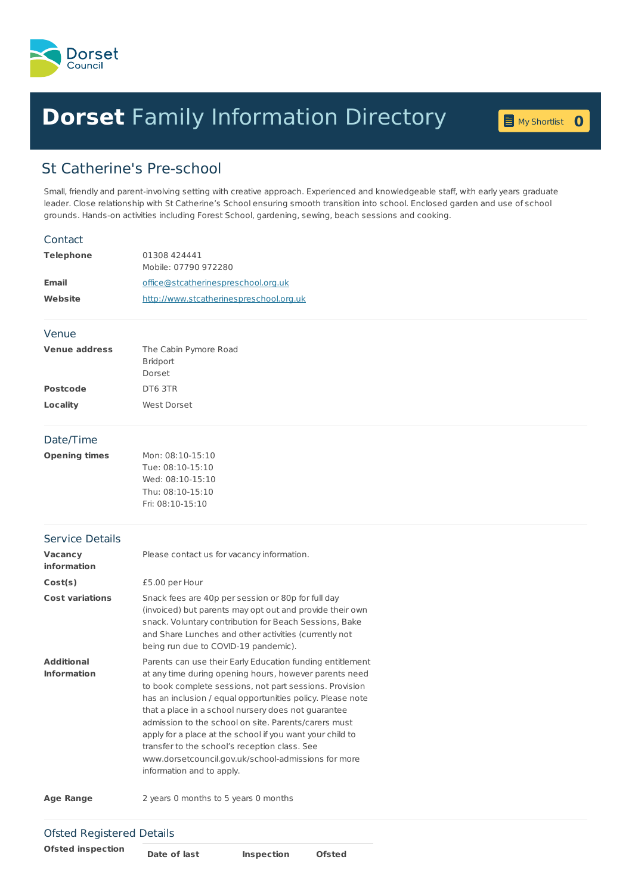

## **Dorset** Family [Information](home.page) Directory **<sup>0</sup>**

My [Shortlist](shortlist.page) 0

## St Catherine's Pre-school

Small, friendly and parent-involving setting with creative approach. Experienced and knowledgeable staff, with early years graduate leader. Close relationship with St Catherine's School ensuring smooth transition into school. Enclosed garden and use of school grounds. Hands-on activities including Forest School, gardening, sewing, beach sessions and cooking.

## **Telephone** 01308 424441 Mobile: 07790 972280 **Email** [office@stcatherinespreschool.org.uk](mailto:office@stcatherinespreschool.org.uk) **Website** <http://www.stcatherinespreschool.org.uk> **Venue address** The Cabin Pymore Road Bridport Dorset **Postcode** DT6 3TR **Locality** West Dorset **Opening times** Mon: 08:10-15:10 Tue: 08:10-15:10 Wed: 08:10-15:10 Thu: 08:10-15:10 Fri: 08:10-15:10 **Vacancy information** Please contact us for vacancy information. **Cost(s)** £5.00 per Hour **Cost variations** Snack fees are 40p per session or 80p for full day (invoiced) but parents may opt out and provide their own snack. Voluntary contribution for Beach Sessions, Bake and Share Lunches and other activities (currently not being run due to COVID-19 pandemic). **Additional Information** Parents can use their Early Education funding entitlement at any time during opening hours, however parents need to book complete sessions, not part sessions. Provision has an inclusion / equal opportunities policy. Please note that a place in a school nursery does not guarantee admission to the school on site. Parents/carers must apply for a place at the school if you want your child to transfer to the school's reception class. See www.dorsetcouncil.gov.uk/school-admissions for more information and to apply. **Age Range** 2 years 0 months to 5 years 0 months **Contact** Venue Date/Time Service Details

**Ofsted inspection Date of last Inspection Ofsted**

Ofsted Registered Details